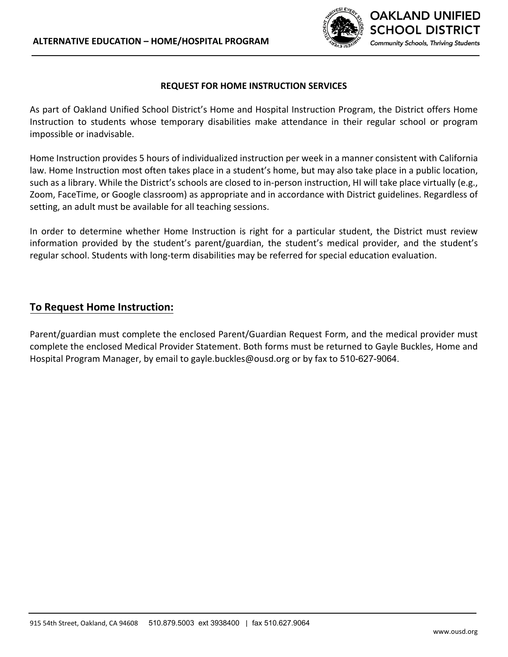

#### **REQUEST FOR HOME INSTRUCTION SERVICES**

As part of Oakland Unified School District's Home and Hospital Instruction Program, the District offers Home Instruction to students whose temporary disabilities make attendance in their regular school or program impossible or inadvisable.

Home Instruction provides 5 hours of individualized instruction per week in a manner consistent with California law. Home Instruction most often takes place in a student's home, but may also take place in a public location, such as a library. While the District's schools are closed to in-person instruction, HI will take place virtually (e.g., Zoom, FaceTime, or Google classroom) as appropriate and in accordance with District guidelines. Regardless of setting, an adult must be available for all teaching sessions.

In order to determine whether Home Instruction is right for a particular student, the District must review information provided by the student's parent/guardian, the student's medical provider, and the student's regular school. Students with long-term disabilities may be referred for special education evaluation.

### **To Request Home Instruction:**

Parent/guardian must complete the enclosed Parent/Guardian Request Form, and the medical provider must complete the enclosed Medical Provider Statement. Both forms must be returned to Gayle Buckles, Home and Hospital Program Manager, by email to gayle.buckles@ousd.org or by fax to 510-627-9064.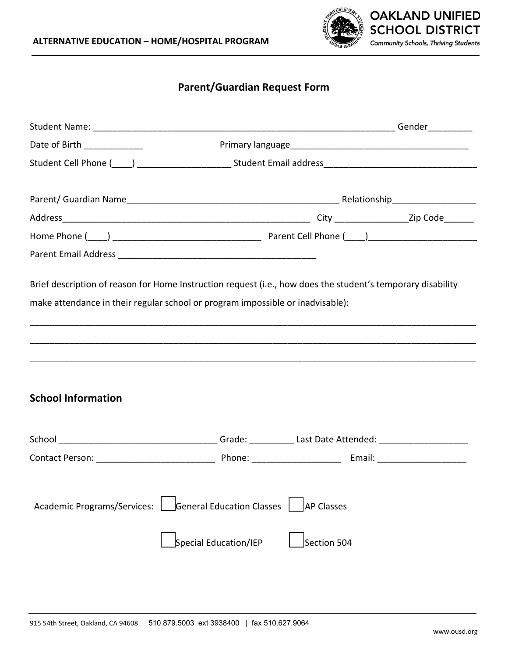

# **Parent/Guardian Request Form**

| Date of Birth _____________        |                                                                                                                 |                                  |  |
|------------------------------------|-----------------------------------------------------------------------------------------------------------------|----------------------------------|--|
|                                    | Student Cell Phone (Collection 2010) 2012 2020 Student Email address 2021 2021 2021 2021 2022 2023 2024 2022 20 |                                  |  |
|                                    |                                                                                                                 |                                  |  |
|                                    |                                                                                                                 |                                  |  |
|                                    |                                                                                                                 |                                  |  |
|                                    |                                                                                                                 |                                  |  |
|                                    |                                                                                                                 |                                  |  |
|                                    | make attendance in their regular school or program impossible or inadvisable):                                  |                                  |  |
| <b>School Information</b>          |                                                                                                                 |                                  |  |
|                                    |                                                                                                                 |                                  |  |
| <b>Academic Programs/Services:</b> | General Education Classes<br>Special Education/IEP                                                              | <b>AP Classes</b><br>Section 504 |  |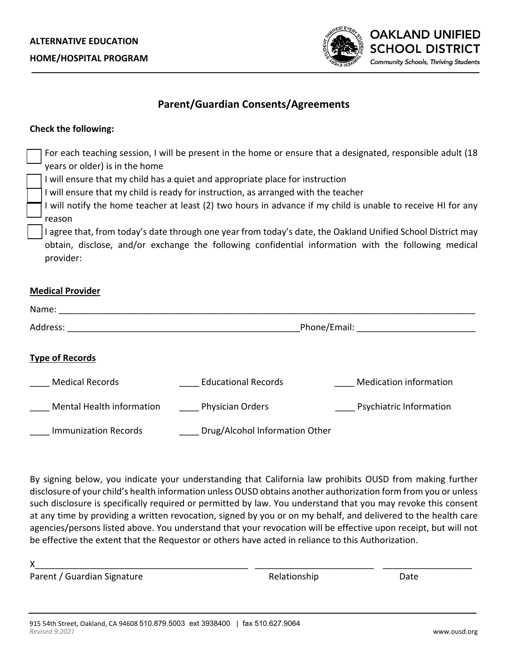

## **Parent/Guardian Consents/Agreements**

### **Check the following:**

| years or older) is in the home<br>reason<br>provider:                                                                                                                                                                                                     | I will ensure that my child has a quiet and appropriate place for instruction<br>I will ensure that my child is ready for instruction, as arranged with the teacher | For each teaching session, I will be present in the home or ensure that a designated, responsible adult (18<br>I will notify the home teacher at least (2) two hours in advance if my child is unable to receive HI for any<br>I agree that, from today's date through one year from today's date, the Oakland Unified School District may<br>obtain, disclose, and/or exchange the following confidential information with the following medical |
|-----------------------------------------------------------------------------------------------------------------------------------------------------------------------------------------------------------------------------------------------------------|---------------------------------------------------------------------------------------------------------------------------------------------------------------------|---------------------------------------------------------------------------------------------------------------------------------------------------------------------------------------------------------------------------------------------------------------------------------------------------------------------------------------------------------------------------------------------------------------------------------------------------|
| <b>Medical Provider</b><br>Name: when the contract of the contract of the contract of the contract of the contract of the contract of the contract of the contract of the contract of the contract of the contract of the contract of the contract of the |                                                                                                                                                                     |                                                                                                                                                                                                                                                                                                                                                                                                                                                   |
|                                                                                                                                                                                                                                                           |                                                                                                                                                                     | Phone/Email: Phone/Email:                                                                                                                                                                                                                                                                                                                                                                                                                         |
| <b>Type of Records</b>                                                                                                                                                                                                                                    |                                                                                                                                                                     |                                                                                                                                                                                                                                                                                                                                                                                                                                                   |
| <b>Medical Records</b>                                                                                                                                                                                                                                    | <b>Educational Records</b>                                                                                                                                          | <b>Medication information</b>                                                                                                                                                                                                                                                                                                                                                                                                                     |
| Mental Health information                                                                                                                                                                                                                                 | Physician Orders                                                                                                                                                    | <b>Psychiatric Information</b>                                                                                                                                                                                                                                                                                                                                                                                                                    |
| <b>Immunization Records</b>                                                                                                                                                                                                                               | Drug/Alcohol Information Other                                                                                                                                      |                                                                                                                                                                                                                                                                                                                                                                                                                                                   |

By signing below, you indicate your understanding that California law prohibits OUSD from making further disclosure of your child's health information unless OUSD obtains another authorization form from you or unless such disclosure is specifically required or permitted by law. You understand that you may revoke this consent at any time by providing a written revocation, signed by you or on my behalf, and delivered to the health care agencies/persons listed above. You understand that your revocation will be effective upon receipt, but will not be effective the extent that the Requestor or others have acted in reliance to this Authorization.

| Parent / Guardian Signature | Relationship | Date |  |
|-----------------------------|--------------|------|--|